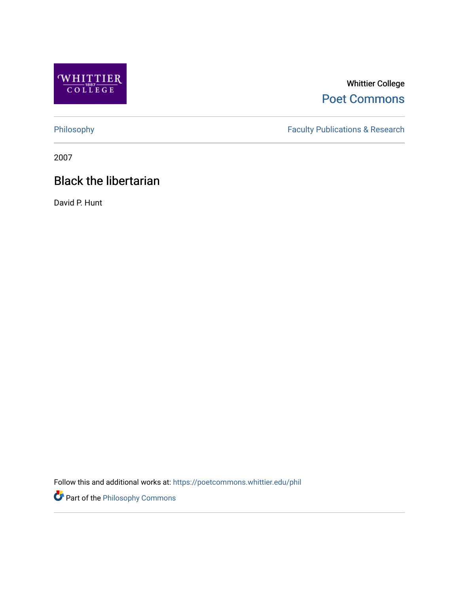

## Whittier College [Poet Commons](https://poetcommons.whittier.edu/)

[Philosophy](https://poetcommons.whittier.edu/phil) Faculty Publications & Research

2007

# Black the libertarian

David P. Hunt

Follow this and additional works at: [https://poetcommons.whittier.edu/phil](https://poetcommons.whittier.edu/phil?utm_source=poetcommons.whittier.edu%2Fphil%2F2&utm_medium=PDF&utm_campaign=PDFCoverPages)

Part of the [Philosophy Commons](http://network.bepress.com/hgg/discipline/525?utm_source=poetcommons.whittier.edu%2Fphil%2F2&utm_medium=PDF&utm_campaign=PDFCoverPages)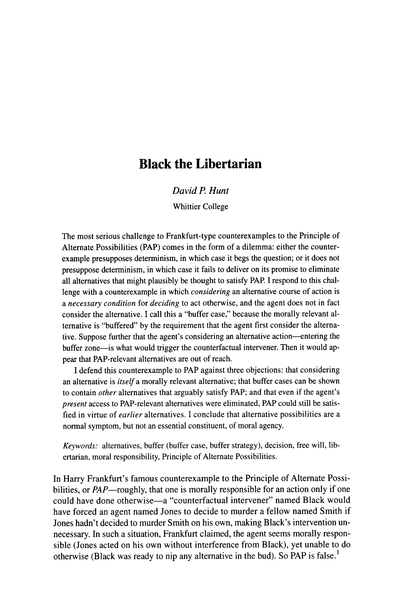## **Black the Libertarian**

*David P. Hunt* 

Whittier College

The most serious challenge to Frankfurt-type counterexamples to the Principle of Alternate Possibilities (PAP) comes in the form of a dilemma: either the counterexample presupposes determinism, in which case it begs the question; or it does not presuppose determinism, in which case it fails to deliver on its promise to eliminate all alternatives that might plausibly be thought to satisfy PAP. I respond to this challenge with a counterexample in which *considering* an alternative course of action is *a necessary condition* for *deciding* to act otherwise, and the agent does not in fact consider the alternative. I call this a "buffer case," because the morally relevant alternative is "buffered" by the requirement that the agent first consider the alternative. Suppose further that the agent's considering an alternative action--entering the buffer zone--is what would trigger the counterfactual intervener. Then it would appear that PAP-relevant alternatives are out of reach.

I defend this counterexample to PAP against three objections: that considering an alternative is *itselfa* morally relevant alternative; that buffer cases can be shown to contain *other* alternatives that arguably satisfy PAP; and that even if the agent's *present* access to PAP-relevant alternatives were eliminated, PAP could still be satisfied in virtue of *earlier* alternatives. I conclude that alternative possibilities are a normal symptom, but not an essential constituent, of moral agency.

*Keywords:* alternatives, buffer (buffer case, buffer strategy), decision, free will, libertarian, moral responsibility, Principle of Alternate Possibilities.

In Harry Frankfurt's famous counterexample to the Principle of Alternate Possibilities, or *PAP*—roughly, that one is morally responsible for an action only if one could have done otherwise-a "counterfactual intervener" named Black would have forced an agent named Jones to decide to murder a fellow named Smith if Jones hadn't decided to murder Smith on his own, making Black's intervention unnecessary. In such a situation, Frankfurt claimed, the agent seems morally responsible (Jones acted on his own without interference from Black), yet unable to do otherwise (Black was ready to nip any alternative in the bud). So PAP is false.<sup>1</sup>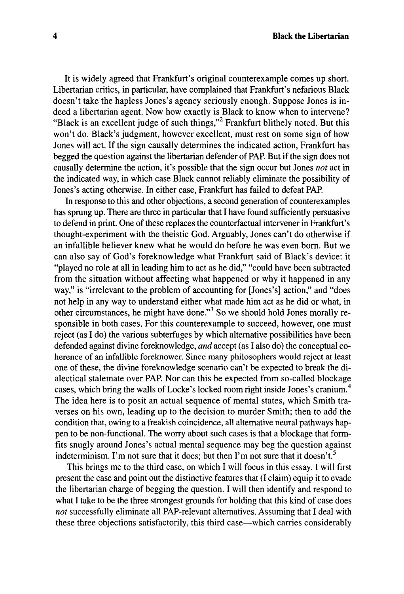It is widely agreed that Frankfurt's original counterexample comes up short. Libertarian critics, in particular, have complained that Frankfurt's nefarious Black doesn't take the hapless Jones's agency seriously enough. Suppose Jones is indeed a libertarian agent. Now how exactly is Black to know when to intervene? "Black is an excellent judge of such things,"<sup>2</sup> Frankfurt blithely noted. But this won't do. Black's judgment, however excellent, must rest on some sign of how Jones will act. If the sign causally determines the indicated action, Frankfurt has begged the question against the libertarian defender of PAP. But if the sign does not causally determine the action, it's possible that the sign occur but Jones *not* act in the indicated way, in which case Black cannot reliably eliminate the possibility of Jones's acting otherwise. In either case, Frankfurt has failed to defeat PAP.

In response to this and other objections, a second generation of counterexamples has sprung up. There are three in particular that I have found sufficiently persuasive to defend in print. One of these replaces the counterfactual intervener in Frankfurt's thought-experiment with the theistic God. Arguably, Jones can't do otherwise if an infallible believer knew what he would do before he was even born. But we can also say of God's foreknowledge what Frankfurt said of Black's device: it "played no role at all in leading him to act as he did," "could have been subtracted from the situation without affecting what happened or why it happened in any way," is "irrelevant to the problem of accounting for [Jones's] action," and "does not help in any way to understand either what made him act as he did or what, in other circumstances, he might have done."<sup>3</sup> So we should hold Jones morally responsible in both cases. For this counterexample to succeed, however, one must reject (as I do) the various subterfuges by which alternative possibilities have been defended against divine foreknowledge, *and* accept (as I also do) the conceptual coherence of an infallible foreknower. Since many philosophers would reject at least one of these, the divine foreknowledge scenario can't be expected to break the dialectical stalemate over PAP. Nor can this be expected from so-called blockage cases, which bring the walls of Locke's locked room right inside Jones's cranium. 4 The idea here is to posit an actual sequence of mental states, which Smith traverses on his own, leading up to the decision to murder Smith; then to add the condition that, owing to a freakish coincidence, all alternative neural pathways happen to be non-functional. The worry about such cases is that a blockage that formfits snugly around Jones's actual mental sequence may beg the question against indeterminism. I'm not sure that it does; but then I'm not sure that it doesn't.<sup>5</sup>

This brings me to the third case, on which I will focus in this essay. I will first present the case and point out the distinctive features that (I claim) equip it to evade the libertarian charge of begging the question. I will then identify and respond to what I take to be the three strongest grounds for holding that this kind of case does *not* successfully eliminate all PAP-relevant alternatives. Assuming that I deal with these three objections satisfactorily, this third case—which carries considerably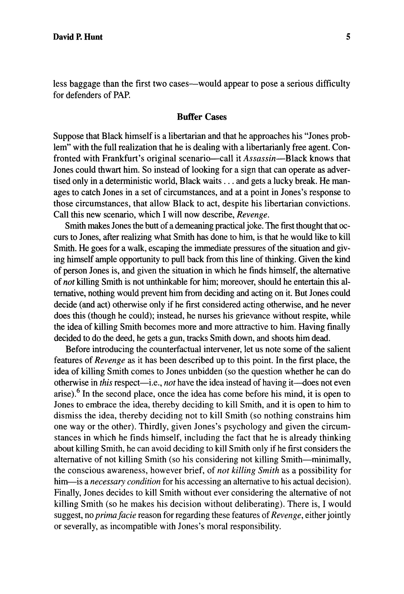less baggage than the first two cases--would appear to pose a serious difficulty for defenders of PAP.

#### **Buffer Cases**

Suppose that Black himself is a libertarian and that he approaches his "Jones problem" with the full realization that he is dealing with a libertarianly free agent. Confronted with Frankfurt's original scenario--call it *Assassin--Black* knows that Jones could thwart him. So instead of looking for a sign that can operate as advertised only in a deterministic world, Black waits.., and gets a lucky break. He manages to catch Jones in a set of circumstances, and at a point in Jones's response to those circumstances, that allow Black to act, despite his libertarian convictions. Call this new scenario, which I will now describe, *Revenge.* 

Smith makes Jones the butt of a demeaning practical joke. The first thought that occurs to Jones, after realizing what Smith has done to him, is that he would like to kill Smith. He goes for a walk, escaping the immediate pressures of the situation and giving himself ample opportunity to pull back from this line of thinking. Given the kind of person Jones is, and given the situation in which he finds himself, the altemative of *not* killing Smith is not unthinkable for him; moreover, should he entertain this alternative, nothing would prevent him from deciding and acting on it. But Jones could decide (and act) otherwise only if he first considered acting otherwise, and he never does this (though he could); instead, he nurses his grievance without respite, while the idea of killing Smith becomes more and more attractive to him. Having finally decided to do the deed, he gets a gun, tracks Smith down, and shoots him dead.

Before introducing the counterfactual intervener, let us note some of the salient features of *Revenge* as it has been described up to this point. In the first place, the idea of killing Smith comes to Jones unbidden (so the question whether he can do otherwise in *this* respect—i.e., *not* have the idea instead of having it—does not even arise). 6 In the second place, once the idea has come before his mind, it is open to Jones to embrace the idea, thereby deciding to kill Smith, and it is open to him to dismiss the idea, thereby deciding not to kill Smith (so nothing constrains him one way or the other). Thirdly, given Jones's psychology and given the circumstances in which he finds himself, including the fact that he is already thinking about killing Smith, he can avoid deciding to kill Smith only if he first considers the alternative of not killing Smith (so his considering not killing Smith--minimally, the conscious awareness, however brief, of *not killing Smith* as a possibility for him—is a *necessary condition* for his accessing an alternative to his actual decision). Finally, Jones decides to kill Smith without ever considering the alternative of not killing Smith (so he makes his decision without deliberating). There is, I would suggest, no *primafacie* reason for regarding these features of *Revenge,* either jointly or severally, as incompatible with Jones's moral responsibility.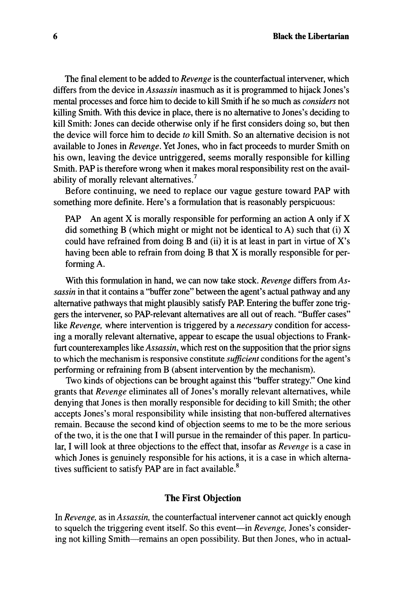The final element to be added to *Revenge* is the counterfactual intervener, which differs from the device in *Assassin* inasmuch as it is programmed to hijack Jones's mental processes and force him to decide to kill Smith if he so much as *considers* not killing Smith. With this device in place, there is no alternative to Jones's deciding to kill Smith: Jones can decide otherwise only if he first considers doing so, but then the device will force him to decide *to* kill Smith. So an alternative decision is not available to Jones in *Revenge.* Yet Jones, who in fact proceeds to murder Smith on his own, leaving the device untriggered, seems morally responsible for killing Smith. PAP is therefore wrong when it makes moral responsibility rest on the availability of morally relevant alternatives.<sup>7</sup>

Before continuing, we need to replace our vague gesture toward PAP with something more definite. Here's a formulation that is reasonably perspicuous:

PAP An agent X is morally responsible for performing an action A only if X did something B (which might or might not be identical to A) such that (i)  $X$ could have refrained from doing B and (ii) it is at least in part in virtue of X's having been able to refrain from doing B that X is morally responsible for performing A.

With this formulation in hand, we can now take stock. *Revenge* differs from *Assassin* in that it contains a "buffer zone" between the agent's actual pathway and any alternative pathways that might plausibly satisfy PAP. Entering the buffer zone triggers the intervener, so PAP-relevant alternatives are all out of reach. "Buffer cases" like *Revenge,* where intervention is triggered by a *necessary* condition for accessing a morally relevant alternative, appear to escape the usual objections to Frankfurt counterexamples like *Assassin,* which rest on the supposition that the prior signs to which the mechanism is responsive constitute *sufficient* conditions for the agent's performing or refraining from B (absent intervention by the mechanism).

Two kinds of objections can be brought against this "buffer strategy." One kind grants that *Revenge* eliminates all of Jones's morally relevant alternatives, while denying that Jones is then morally responsible for deciding to kill Smith; the other accepts Jones's moral responsibility while insisting that non-buffered alternatives remain. Because the second kind of objection seems to me to be the more serious of the two, it is the one that I will pursue in the remainder of this paper. In particular, I will look at three objections to the effect that, insofar as *Revenge* is a case in which Jones is genuinely responsible for his actions, it is a case in which alternatives sufficient to satisfy PAP are in fact available.<sup>8</sup>

#### **The First Objection**

In *Revenge,* as in *Assassin,* the counterfactual intervener cannot act quickly enough to squelch the triggering event itself. So this event--in *Revenge,* Jones's considering not killing Smith—remains an open possibility. But then Jones, who in actual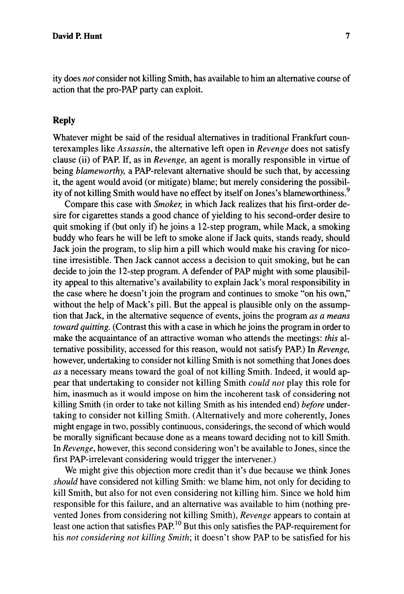ity does *not* consider not killing Smith, has available to him an alternative course of action that the pro-PAP party can exploit.

#### **Reply**

Whatever might be said of the residual alternatives in traditional Frankfurt counterexamples like *Assassin,* the alternative left open in *Revenge* does not satisfy clause (ii) of PAP. If, as in *Revenge,* an agent is morally responsible in virtue of being *blameworthy,* a PAP-relevant alternative should be such that, by accessing it, the agent would avoid (or mitigate) blame; but merely considering the possibility of not killing Smith would have no effect by itself on Jones's blameworthiness. 9

Compare this case with *Smoker,* in which Jack realizes that his first-order desire for cigarettes stands a good chance of yielding to his second-order desire to quit smoking if (but only if) he joins a 12-step program, while Mack, a smoking buddy who fears he will be left to smoke alone if Jack quits, stands ready, should Jack join the program, to slip him a pill which would make his craving for nicotine irresistible. Then Jack cannot access a decision to quit smoking, but he can decide to join the 12-step program. A defender of PAP might with some plausibility appeal to this alternative's availability to explain Jack's moral responsibility in the case where he doesn't join the program and continues to smoke "on his own," without the help of Mack's pill. But the appeal is plausible only on the assumption that Jack, in the alternative sequence of events, joins the program *as a means toward quitting.* (Contrast this with a case in which he joins the program in order to make the acquaintance of an attractive woman who attends the meetings: *this* alternative possibility, accessed for this reason, would not satisfy PAP.) In *Revenge,*  however, undertaking to consider not killing Smith is not something that Jones does *as* a necessary means toward the goal of not killing Smith. Indeed, it would appear that undertaking to consider not killing Smith *could not* play this role for him, inasmuch as it would impose on him the incoherent task of considering not killing Smith (in order to take not killing Smith as his intended end) *before* undertaking to consider not killing Smith. (Alternatively and more coherently, Jones might engage in two, possibly continuous, considerings, the second of which would be morally significant because done as a means toward deciding not to kill Smith. In *Revenge,* however, this second considering won't be available to Jones, since the first PAP-irrelevant considering would trigger the intervener.)

We might give this objection more credit than it's due because we think Jones *should* have considered not killing Smith: we blame him, not only for deciding to kill Smith, but also for not even considering not killing him. Since we hold him responsible for this failure, and an alternative was available to him (nothing prevented Jones from considering not killing Smith), *Revenge* appears to contain at least one action that satisfies PAP.<sup>10</sup> But this only satisfies the PAP-requirement for his *not considering not killing Smith;* it doesn't show PAP to be satisfied for his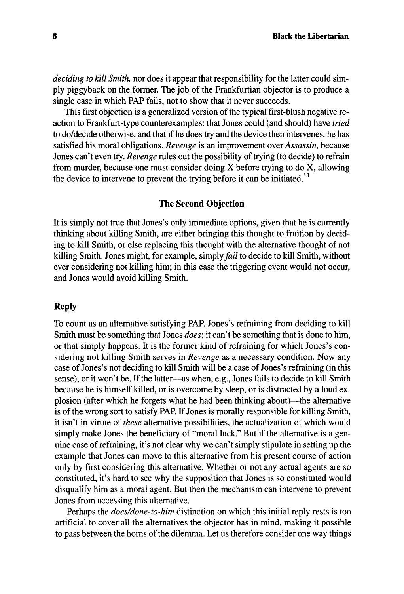*deciding to kill Smith,* nor does it appear that responsibility for the latter could simply piggyback on the former. The job of the Frankfurtian objector is to produce a single case in which PAP fails, not to show that it never succeeds.

This first objection is a generalized version of the typical first-blush negative reaction to Frankfurt-type counterexamples: that Jones could (and should) have *tried*  to do/decide otherwise, and that if he does try and the device then intervenes, he has satisfied his moral obligations. *Revenge* is an improvement over *Assassin,* because Jones can't even try. *Revenge* rules out the possibility of trying (to decide) to refrain from murder, because one must consider doing X before trying to do X, allowing the device to intervene to prevent the trying before it can be initiated.<sup>11</sup>

#### **The Second Objection**

It is simply not true that Jones's only immediate options, given that he is currently thinking about killing Smith, are either bringing this thought to fruition by deciding to kill Smith, or else replacing this thought with the alternative thought of **not**  killing Smith. Jones might, for example, *simply fail* to decide to kill Smith, without ever considering not killing him; in this case the triggering event would not occur, and Jones would avoid killing Smith.

#### **Reply**

To count as an alternative satisfying PAP, Jones's refraining from deciding to kill Smith must be something that Jones *does;* it can't be something that is done to him, or that simply happens. It is the former kind of refraining for which Jones's considering not killing Smith serves in *Revenge* as a necessary condition. Now any case of Jones's not deciding to kill Smith will be a case of Jones's refraining (in this sense), or it won't be. If the latter---as when, e.g., Jones fails to decide to kill Smith because he is himself killed, or is overcome by sleep, or is distracted by a loud explosion (after which he forgets what he had been thinking about)—the alternative is of the wrong sort to satisfy PAP. If Jones is morally responsible for killing Smith, it isn't in virtue of *these* alternative possibilities, the actualization of which would simply make Jones the beneficiary of "moral luck." But if the alternative is a genuine case of refraining, it's not clear why we can't simply stipulate in setting up the example that Jones can move to this alternative from his present course of action only by first considering this alternative. Whether or not any actual agents are so constituted, it's hard to see why the supposition that Jones is so constituted would disqualify him as a moral agent. But then the mechanism can intervene to prevent Jones from accessing this alternative.

Perhaps the *does/done-to-him* distinction on which this initial reply rests is **too**  artificial to cover all the alternatives the objector has in mind, making it possible to pass between the horns of the dilemma. Let us therefore consider one way things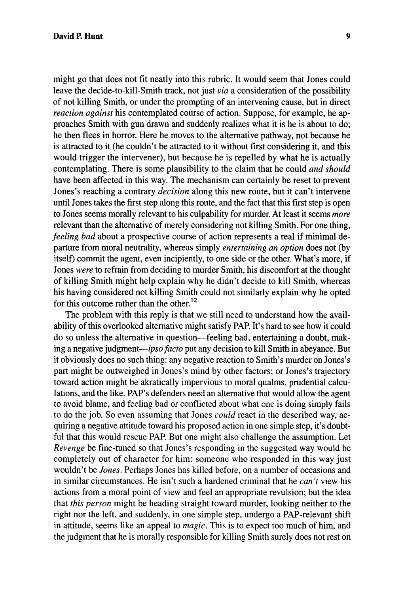might go that does not fit neatly into this rubric. It would seem that Jones could leave the decide-to-kill-Smith track, not just *via* a consideration of the possibility of not killing Smith, or under the prompting of an intervening cause, but in direct *reaction against* his contemplated course of action. Suppose, for example, he approaches Smith with gun drawn and suddenly realizes what it is he is about to do; he then flees in horror. Here he moves to the alternative pathway, not because he is attracted to it (he couldn't be attracted to it without first considering it, and this would trigger the intervener), but because he is repelled by what he is actually contemplating. There is some plausibility to the claim that he could *and should*  have been affected in this way. The mechanism can certainly be reset to prevent Jones's reaching a contrary *decision* along this new route, but it can't intervene until Jones takes the first step along this route, and the fact that this first step is open to Jones seems morally relevant to his culpability for murder. At least it seems *more*  relevant than the alternative of merely considering not killing Smith. For one thing, *feeling bad* about a prospective course of action represents a real if minimal departure from moral neutrality, whereas simply *entertaining an option* does not (by itself) commit the agent, even incipiently, to one side or the other. What's more, if Jones *were* to refrain from deciding to murder Smith, his discomfort at the thought of killing Smith might help explain why he didn't decide to kill Smith, whereas his having considered not killing Smith could not similarly explain why he opted for this outcome rather than the other. $^{12}$ 

The problem with this reply is that we still need to understand how the availability of this overlooked altemative might satisfy PAP. It's hard to see how it could do so unless the alternative in question--feeling bad, entertaining a doubt, making a negative *judgment--ipsofacto* put any decision to kill Smith in abeyance. But it obviously does no such thing: any negative reaction to Smith's murder on Jones's part might be outweighed in Jones's mind by other factors; or Jones's trajectory toward action might be akratically impervious to moral qualms, prudential calculations, and the like. PAP's defenders need an alternative that would allow the agent to avoid blame, and feeling bad or conflicted about what one is doing simply fails to do the job. So even assuming that Jones *could* react in the described way, acquiring a negative attitude toward his proposed action in one simple step, it's doubtful that this would rescue PAP. But one might also challenge the assumption. Let *Revenge* be fine-tuned so that Jones's responding in the suggested way would be completely out of character for him: someone who responded in this way just wouldn't be *Jones.* Perhaps Jones has killed before, on a number of occasions and in similar circumstances. He isn't such a hardened criminal that he *can't* view his actions from a moral point of view and feel an appropriate revulsion; but the idea that *this person* might be heading straight toward murder, looking neither to the right nor the left, and suddenly, in one simple step, undergo a PAP-relevant shift in attitude, seems like an appeal to *magic.* This is to expect too much of him, and the judgment that he is morally responsible for killing Smith surely does not rest on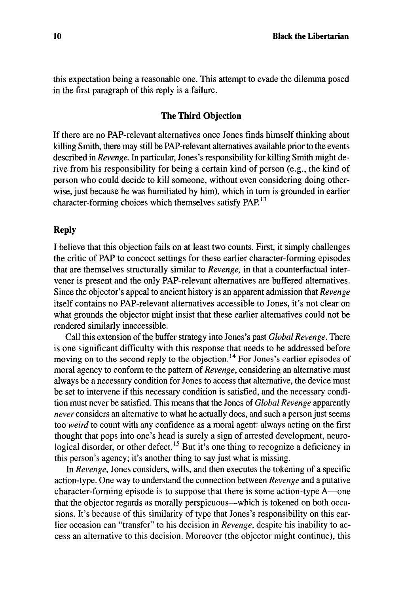this expectation being a reasonable one. This attempt to evade the dilemma posed in the first paragraph of this reply is a failure.

#### **The Third Objection**

If there are no PAP-relevant alternatives once Jones finds himself thinking about killing Smith, there may still be PAP-relevant alternatives available prior to the events described in *Revenge. In* particular, Jones's responsibility for killing Smith might derive from his responsibility for being a certain kind of person (e.g., the kind of person who could decide to kill someone, without even considering doing otherwise, just because he was humiliated by him), which in turn is grounded in earlier character-forming choices which themselves satisfy PAP.<sup>13</sup>

### **Reply**

I believe that this objection fails on at least two counts. First, it simply challenges the critic of PAP to concoct settings for these earlier character-forming episodes that are themselves structurally similar to *Revenge,* in that a counterfactual intervener is present and the only PAP-relevant alternatives are buffered alternatives. Since the objector's appeal to ancient history is an apparent admission that *Revenge*  itself contains no PAP-relevant alternatives accessible to Jones, it's not clear on what grounds the objector might insist that these earlier alternatives could not be rendered similarly inaccessible.

Call this extension of the buffer strategy into Jones's past *Global Revenge.* There is one significant difficulty with this response that needs to be addressed before moving on to the second reply to the objection.<sup>14</sup> For Jones's earlier episodes of moral agency to conform to the pattern of *Revenge,* considering an alternative must always be a necessary condition for Jones to access that alternative, the device must be set to intervene if this necessary condition is satisfied, and the necessary condition must never be satisfied. This means that the Jones of *Global Revenge* apparently *never* considers an alternative to what he actually does, and such a person just seems too *weird* to count with any confidence as a moral agent: always acting on the first thought that pops into one's head is surely a sign of arrested development, neurological disorder, or other defect.<sup>15</sup> But it's one thing to recognize a deficiency in this person's agency; it's another thing to say just what is missing.

In *Revenge,* Jones considers, wills, and then executes the tokening of a specific action-type. One way to understand the connection between *Revenge* and a putative character-forming episode is to suppose that there is some action-type A—one that the objector regards as morally perspicuous—which is tokened on both occasions. It's because of this similarity of type that Jones's responsibility on this earlier occasion can "transfer" to his decision in *Revenge,* despite his inability to access an alternative to this decision. Moreover (the objector might continue), this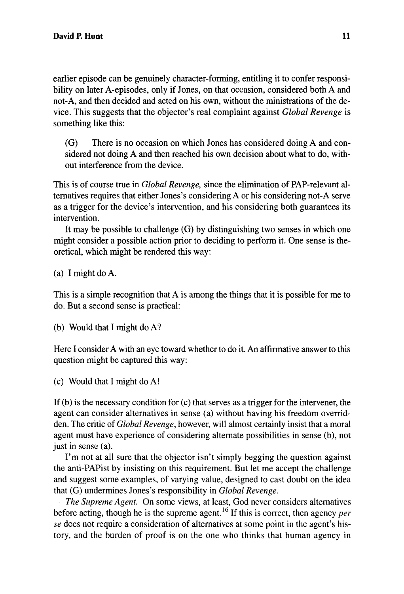earlier episode can be genuinely character-forming, entitling it to confer responsibility on later A-episodes, only if Jones, on that occasion, considered both A and not-A, and then decided and acted on his own, without the ministrations of the device. This suggests that the objector's real complaint against *Global Revenge* is something like this:

(G) There is no occasion on which Jones has considered doing A and considered not doing A and then reached his own decision about what to do, without interference from the device.

This is of course true in *Global Revenge,* since the elimination of PAP-relevant alternatives requires that either Jones's considering A or his considering not-A serve as a trigger for the device's intervention, and his considering both guarantees its intervention.

It may be possible to challenge (G) by distinguishing two senses in which one might consider a possible action prior to deciding to perform it. One sense is theoretical, which might be rendered this way:

(a) I might do A.

This is a simple recognition that A is among the things that it is possible for me to do. But a second sense is practical:

(b) Would that I might do A?

Here I consider A with an eye toward whether to do it. An affirmative answer to this question might be captured this way:

(c) Would that I might do A!

If (b) is the necessary condition for (c) that serves as a trigger for the intervener, the agent can consider alternatives in sense (a) without having his freedom overridden. The critic of *Global Revenge,* however, will almost certainly insist that a moral agent must have experience of considering alternate possibilities in sense (b), not just in sense (a).

I'm not at all sure that the objector isn't simply begging the question against the anti-PAPist by insisting on this requirement. But let me accept the challenge and suggest some examples, of varying value, designed to cast doubt on the idea that (G) undermines Jones's responsibility in *Global Revenge.* 

*The Supreme Agent.* On some views, at least, God never considers alternatives before acting, though he is the supreme agent. 16 If this is correct, then agency *per se* does not require a consideration of alternatives at some point in the agent's history, and the burden of proof is on the one who thinks that human agency in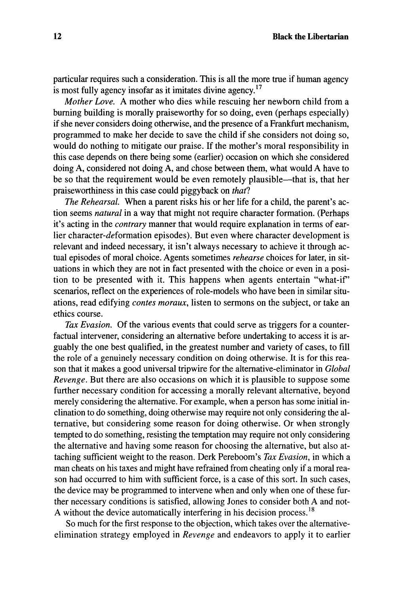particular requires such a consideration. This is all the more true if human agency is most fully agency insofar as it imitates divine agency.<sup>17</sup>

*Mother Love.* A mother who dies while rescuing her newborn child from a burning building is morally praiseworthy for so doing, even (perhaps especially) if she never considers doing otherwise, and the presence of a Frankfurt mechanism, programmed to make her decide to save the child if she considers not doing so, would do nothing to mitigate our praise. If the mother's moral responsibility in this case depends on there being some (earlier) occasion on which she considered doing A, considered not doing A, and chose between them, what would A have to be so that the requirement would be even remotely plausible—that is, that her praiseworthiness in this case could piggyback on *that?* 

*The Rehearsal.* When a parent risks his or her life for a child, the parent's action seems *natural* in a way that might not require character formation. (Perhaps it's acting in the *contrary* manner that would require explanation in terms of earlier character-deformation episodes). But even where character development is relevant and indeed necessary, it isn't always necessary to achieve it through actual episodes of moral choice. Agents sometimes *rehearse* choices for later, in situations in which they are not in fact presented with the choice or even in a position to be presented with it. This happens when agents entertain "what-if" scenarios, reflect on the experiences of role-models who have been in similar situations, read edifying *contes moraux,* listen to sermons on the subject, or take an ethics course.

*Tax Evasion.* Of the various events that could serve as triggers for a counterfactual intervener, considering an alternative before undertaking to access it is arguably the one best qualified, in the greatest number and variety of cases, to fill the role of a genuinely necessary condition on doing otherwise. It is for this reason that it makes a good universal tripwire for the alternative-eliminator in *Global Revenge.* But there are also occasions on which it is plausible to suppose some further necessary condition for accessing a morally relevant alternative, beyond merely considering the alternative. For example, when a person has some initial inclination to do something, doing otherwise may require not only considering the alternative, but considering some reason for doing otherwise. Or when strongly tempted to do something, resisting the temptation may require not only considering the alternative and having some reason for choosing the alternative, but also attaching sufficient weight to the reason. Derk Pereboom's *Tax Evasion,* in which a man cheats on his taxes and might have refrained from cheating only if a moral reason had occurred to him with sufficient force, is a case of this sort. In such cases, the device may be programmed to intervene when and only when one of these further necessary conditions is satisfied, allowing Jones to consider both A and not-A without the device automatically interfering in his decision process.<sup>18</sup>

So much for the first response to the objection, which takes over the alternativeelimination strategy employed in *Revenge* and endeavors to apply it to earlier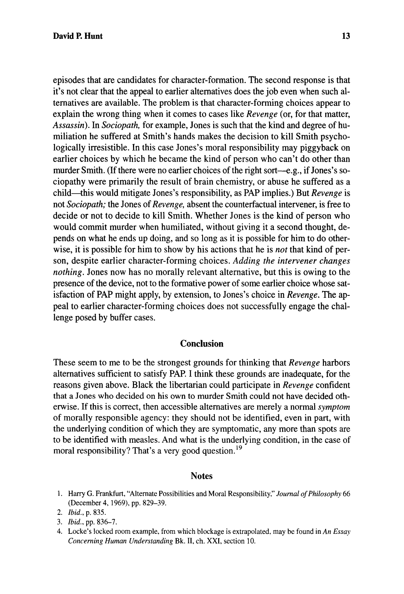episodes that are candidates for character-formation. The second response is that it's not clear that the appeal to earlier alternatives does the job even when such alternatives are available. The problem is that character-forming choices appear to explain the wrong thing when it comes to cases like *Revenge* (or, for that matter, *Assassin).* In *Sociopath,* for example, Jones is such that the kind and degree of humiliation he suffered at Smith's hands makes the decision to kill Smith psychologically irresistible. In this case Jones's moral responsibility may piggyback on earlier choices by which he became the kind of person who can't do other than murder Smith. (If there were no earlier choices of the right sort—e.g., if Jones's sociopathy were primarily the result of brain chemistry, or abuse he suffered as a child--this would mitigate Jones's responsibility, as PAP implies.) But *Revenge* is not *Sociopath;* the Jones of *Revenge,* absent the counterfactual intervener, is free to decide or not to decide to kill Smith. Whether Jones is the kind of person who would commit murder when humiliated, without giving it a second thought, depends on what he ends up doing, and so long as it is possible for him to do otherwise, it is possible for him to show by his actions that he is *not* that kind of person, despite earlier character-forming choices. *Adding the intervener changes nothing.* Jones now has no morally relevant alternative, but this is owing to the presence of the device, not to the formative power of some earlier choice whose satisfaction of PAP might apply, by extension, to Jones's choice in *Revenge. The* appeal to earlier character-forming choices does not successfully engage the challenge posed by buffer cases.

#### **Conclusion**

These seem to me to be the strongest grounds for thinking that *Revenge* harbors altematives sufficient to satisfy PAP. I think these grounds are inadequate, for the reasons given above. Black the libertarian could participate in *Revenge* confident that a Jones who decided on his own to murder Smith could not have decided otherwise. If this is correct, then accessible alternatives are merely a normal *symptom*  of morally responsible agency: they should not be identified, even in part, with the underlying condition of which they are symptomatic, any more than spots are to be identified with measles. And what is the underlying condition, in the case of moral responsibility? That's a very good question.<sup>19</sup>

#### **Notes**

<sup>1.</sup> Harry G. Frankfurt, "Alternate Possibilities and Moral Responsibility," *Journal of Philosophy* 66 (December 4, 1969), pp. 829-39.

*<sup>2.</sup> Ibid.,* p. 835.

*<sup>3.</sup> Ibid.,* pp. 836-7.

<sup>4.</sup> Locke's locked room example, from which blockage is extrapolated, may be found in *An Essay Concerning Human Understanding* Bk. II, ch. XXI, section 10.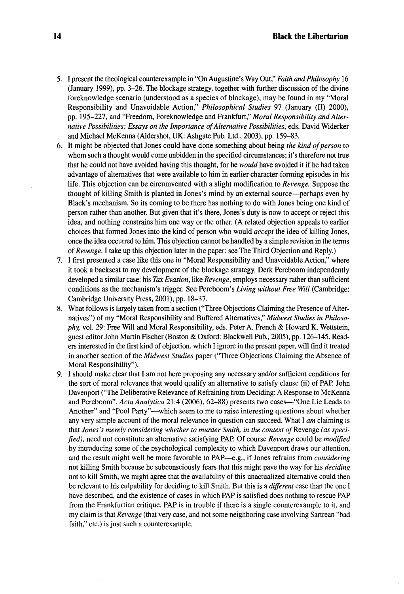- 5. I present the theological counterexample in "On Augustine's Way Out," *Faith and Philosophy 16*  (January 1999), pp. 3-26. The blockage strategy, together with further discussion of the divine foreknowledge scenario (understood as a species of blockage), may be found in my "Moral Responsibility and Unavoidable Action," *Philosophical Studies* 97 (January (II) 2000), pp. 195-227, and "Freedom, Foreknowledge and Frankfurt," *Moral Responsibility and Alternative Possibilities: Essays on the Importance of Alternative Possibilities,* eds. David Widerker and Michael McKenna (Aldershot, UK: Ashgate Pub. Ltd., 2003), pp. 159-83.
- 6. It might be objected that Jones could have done something about being *the kind of person* to whom such a thought would come unbidden in the specified circumstances; it's therefore not true that he could not have avoided having this thought, for he *would* have avoided it if he had taken advantage of alternatives that were available to him in earlier character-forming episodes in his life. This objection can be circumvented with a slight modification to *Revenge.* Suppose the thought of killing Smith is planted in Jones's mind by an external source--perhaps even by Black's mechanism. So its coming to be there has nothing to do with Jones being one kind of person rather than another. But given that it's there, Jones's duty is now to accept or reject this idea, and nothing constrains him one way or the other. (A related objection appeals to earlier choices that formed Jones into the kind of person who would *accept* the idea of killing Jones, once the idea occurred to him. This objection cannot be handled by a simple revision in the terms of *Revenge.* I take up this objection later in the paper: see The Third Objection and Reply.)
- 7. I first presented a case like this one in "Moral Responsibility and Unavoidable Action," where it took a backseat to my development of the blockage strategy. Derk Pereboom independently developed a similar case: his *Tax Evasion,* like *Revenge,* employs necessary rather than sufficient conditions as the mechanism's trigger. See Pereboom's *Living without Free Will* (Cambridge: Cambridge University Press, 2001), pp. 18-37.
- 8. What follows is largely taken from a section ("Three Objections Claiming the Presence of Alternatives") of my "Moral Responsibility and Buffered Alternatives," *Midwest Studies in Philosophy,* vol. 29: Free Will and Moral Responsibility, eds. Peter A. French & Howard K. Wettstein, guest editor John Martin Fischer (Boston & Oxford: Blackwell Pub., 2005), pp. 126-145. Readers interested in the first kind of objection, which I ignore in the present paper, will find it treated in another section of the *Midwest Studies* paper ("Three Objections Claiming the Absence of Moral Responsibility").
- 9. I should make clear that I am not here proposing any necessary and/or sufficient conditions for the sort of moral relevance that would qualify an alternative to satisfy clause (ii) of PAE John Davenport ("The Deliberative Relevance of Refraining from Deciding: A Response to McKenna and Pereboom", *Acta Analytica* 21:4 (2006), 62-88) presents two cases--"One Lie Leads to Another" and "Pool Party"--which seem to me to raise interesting questions about whether any very simple account of the moral relevance in question can succeed. What I *am* claiming is that *Jones's merely considering whether to murder Smith, in the context of Revenge (as specified),* need not constitute an alternative satisfying PAE Of course *Revenge* could be *modified*  by introducing some of the psychological complexity to which Davenport draws our attention, and the result might well be more favorable to PAP--e.g., if Jones refrains from *considering*  not killing Smith because he subconsciously fears that this might pave the way for his *deciding*  not to kill Smith, we might agree that the availability of this unactualized alternative could then be relevant to his culpability for deciding to kill Smith. But this is a *different* case than the one I have described, and the existence of cases in which PAP is satisfied does nothing to rescue PAP from the Frankfurtian critique. PAP is in trouble if there is a single counterexample to it, and my claim is that *Revenge* (that very case, and not some neighboring case involving Sartrean "bad faith," etc.) is just such a counterexample.